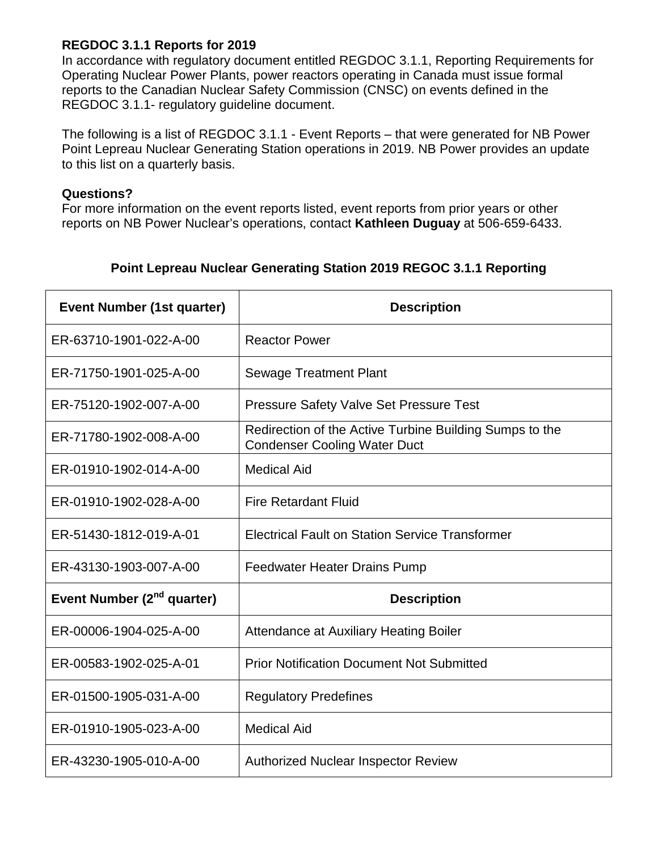## **REGDOC 3.1.1 Reports for 2019**

In accordance with regulatory document entitled REGDOC 3.1.1, Reporting Requirements for Operating Nuclear Power Plants, power reactors operating in Canada must issue formal reports to the Canadian Nuclear Safety Commission (CNSC) on events defined in the REGDOC 3.1.1- regulatory guideline document.

The following is a list of REGDOC 3.1.1 - Event Reports – that were generated for NB Power Point Lepreau Nuclear Generating Station operations in 2019. NB Power provides an update to this list on a quarterly basis.

## **Questions?**

For more information on the event reports listed, event reports from prior years or other reports on NB Power Nuclear's operations, contact **Kathleen Duguay** at 506-659-6433.

| <b>Event Number (1st quarter)</b>      | <b>Description</b>                                                                             |
|----------------------------------------|------------------------------------------------------------------------------------------------|
| ER-63710-1901-022-A-00                 | <b>Reactor Power</b>                                                                           |
| ER-71750-1901-025-A-00                 | <b>Sewage Treatment Plant</b>                                                                  |
| ER-75120-1902-007-A-00                 | <b>Pressure Safety Valve Set Pressure Test</b>                                                 |
| ER-71780-1902-008-A-00                 | Redirection of the Active Turbine Building Sumps to the<br><b>Condenser Cooling Water Duct</b> |
| ER-01910-1902-014-A-00                 | <b>Medical Aid</b>                                                                             |
| ER-01910-1902-028-A-00                 | <b>Fire Retardant Fluid</b>                                                                    |
| ER-51430-1812-019-A-01                 | <b>Electrical Fault on Station Service Transformer</b>                                         |
| ER-43130-1903-007-A-00                 | <b>Feedwater Heater Drains Pump</b>                                                            |
| Event Number (2 <sup>nd</sup> quarter) | <b>Description</b>                                                                             |
| ER-00006-1904-025-A-00                 | <b>Attendance at Auxiliary Heating Boiler</b>                                                  |
| ER-00583-1902-025-A-01                 | <b>Prior Notification Document Not Submitted</b>                                               |
| ER-01500-1905-031-A-00                 | <b>Regulatory Predefines</b>                                                                   |
| ER-01910-1905-023-A-00                 | <b>Medical Aid</b>                                                                             |
| ER-43230-1905-010-A-00                 | <b>Authorized Nuclear Inspector Review</b>                                                     |

## **Point Lepreau Nuclear Generating Station 2019 REGOC 3.1.1 Reporting**